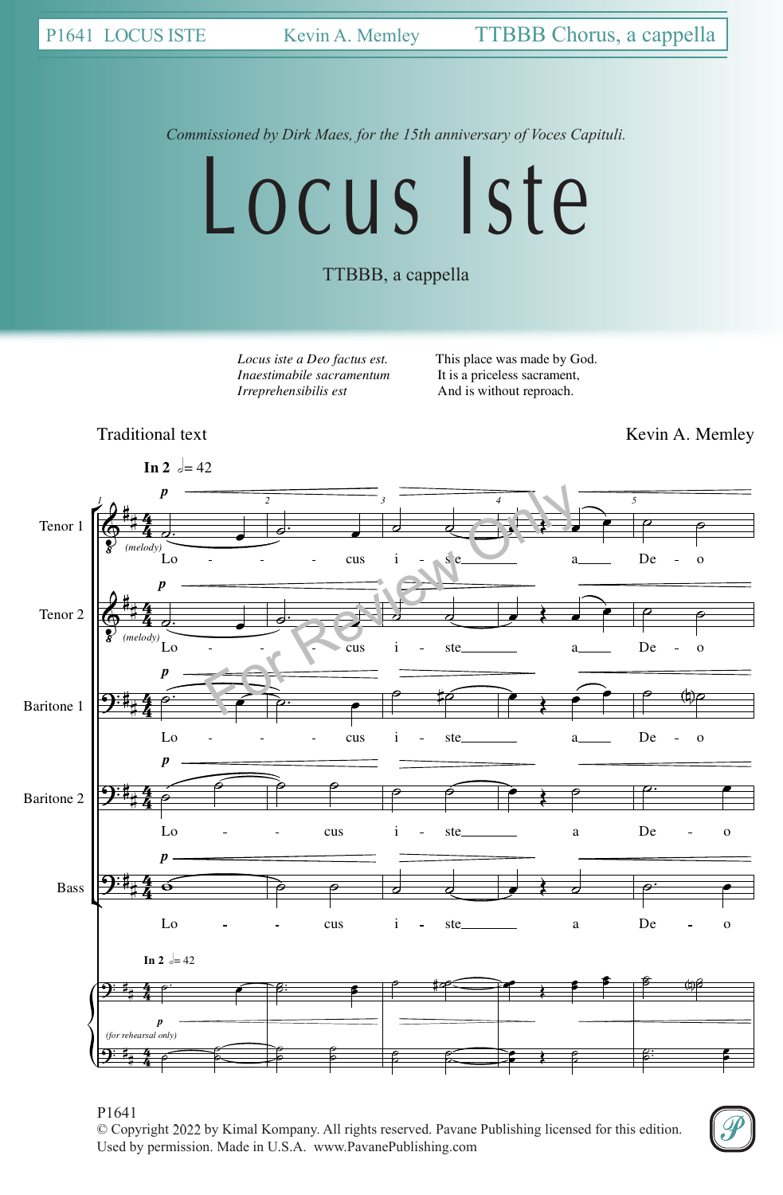## *Commissioned by Dirk Maes, for the 15th anniversary of Voces Capituli.*

## Locus Iste

## Locus Iste **Commissioned by Dirk Marshall Marshall Marshall Marshall Marshall Marshall Marshall Marshall Marshall Marshall Ma**

*Inaestimabile sacramentum*<br>*Irreprehensibilis est* 

*Locus iste a Deo factus est.* This place was made by God.<br>*Inaestimabile sacramentum* It is a priceless sacrament. And is without reproach.



P1641

 $\circ$  Copyright 2022 by Kimal Kompany. All rights reserved. Pavane Publishing licensed for this edition. Used by permission. Made in U.S.A. www.PavanePublishing.com

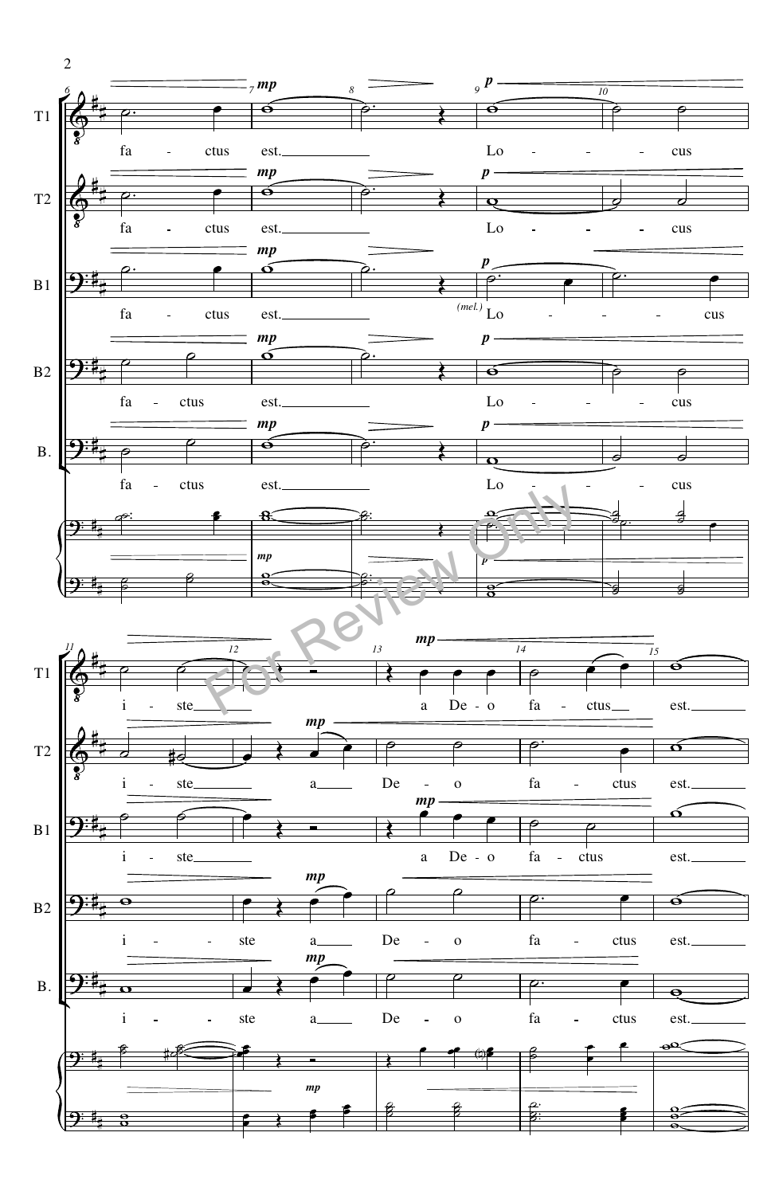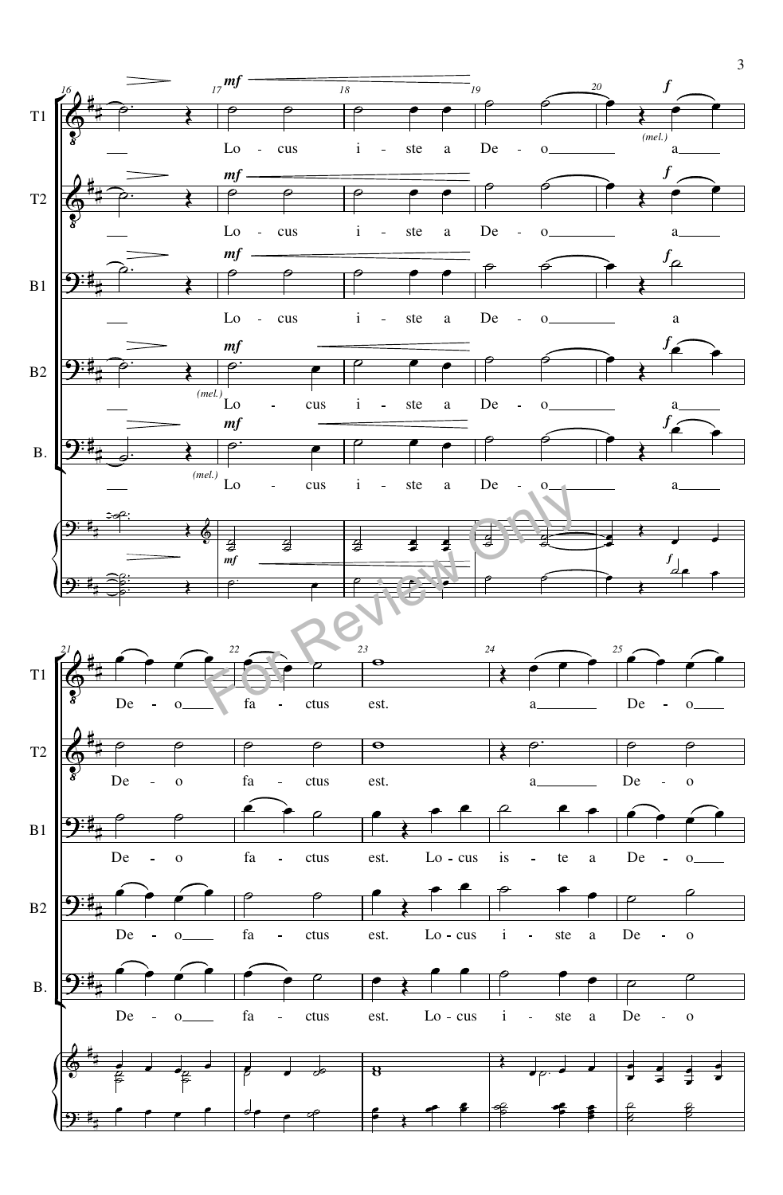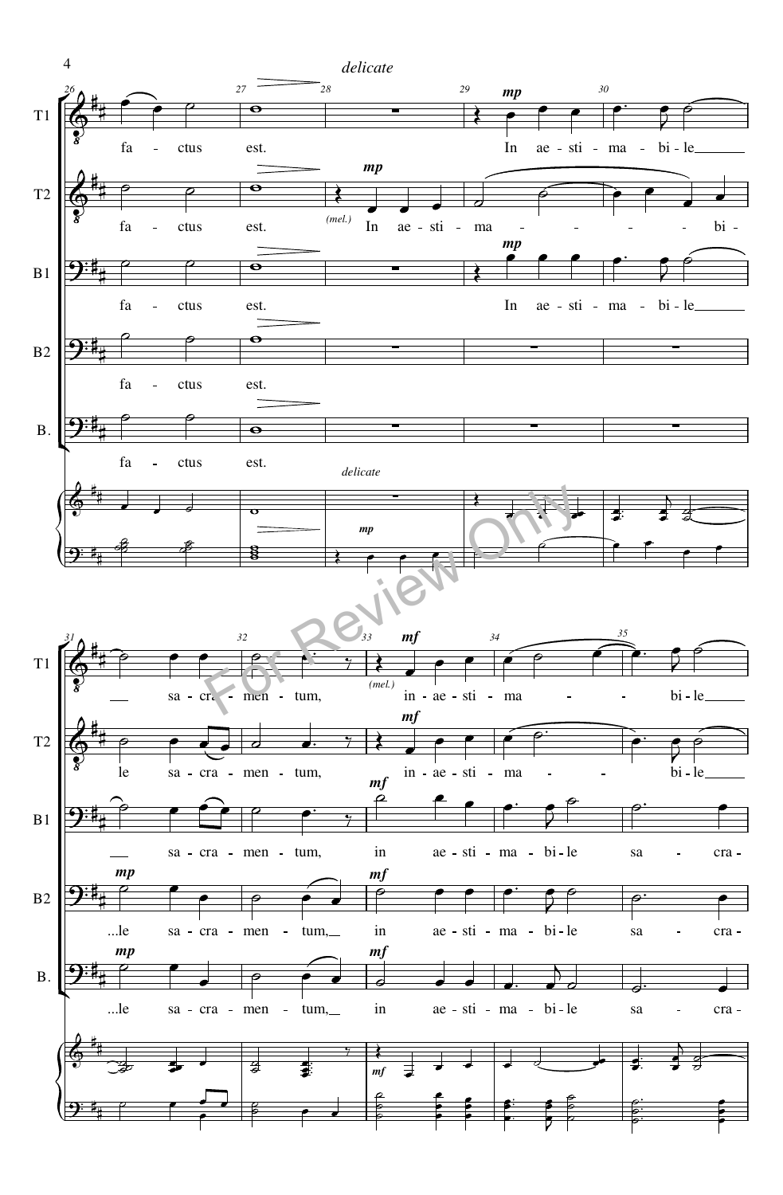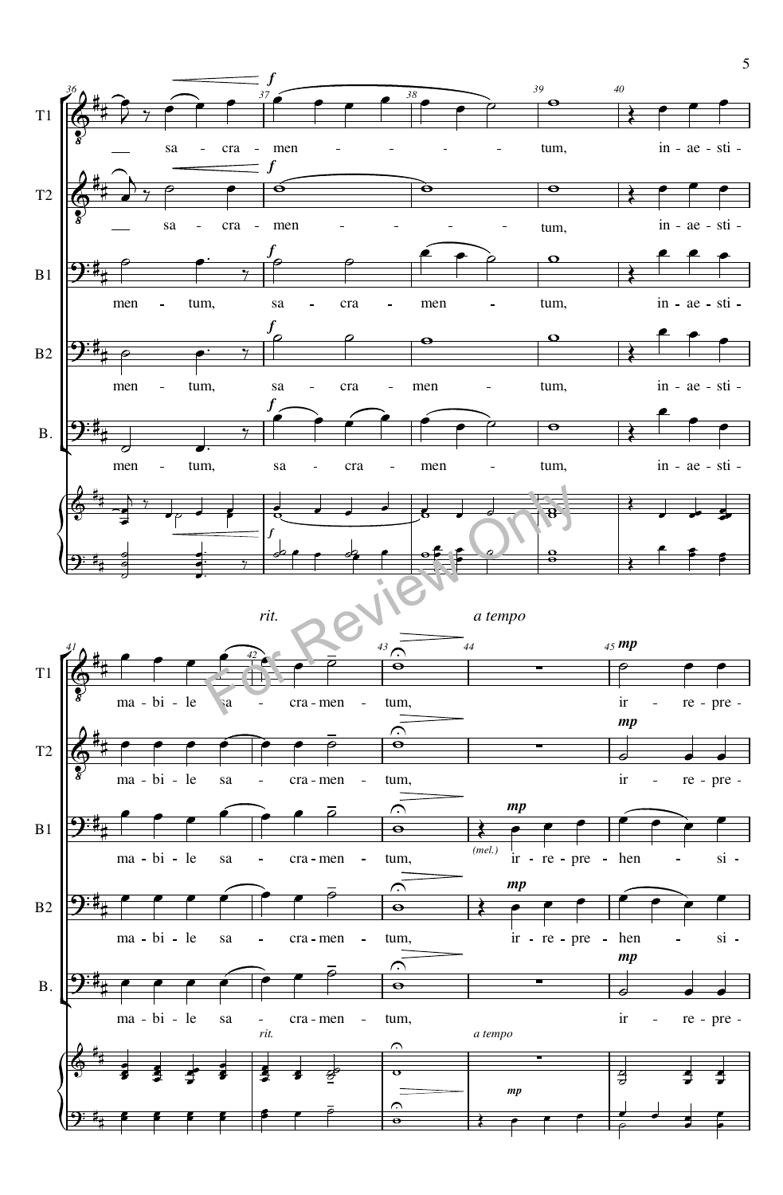

5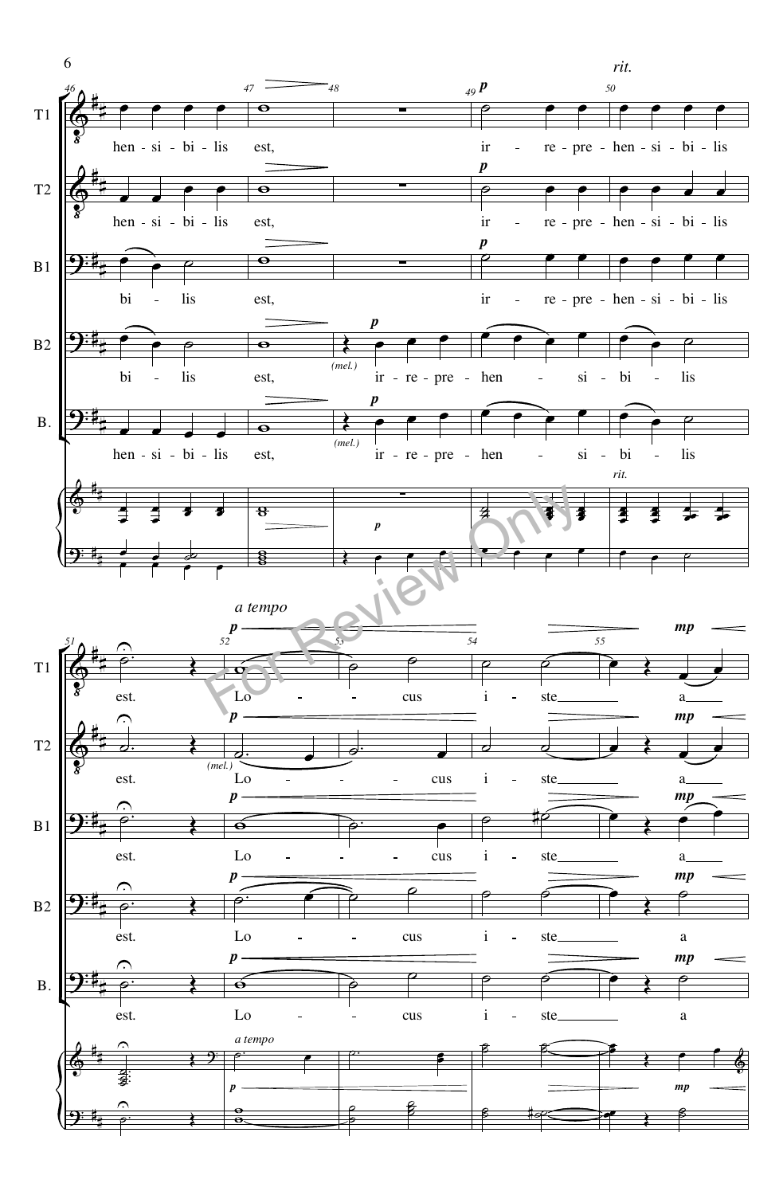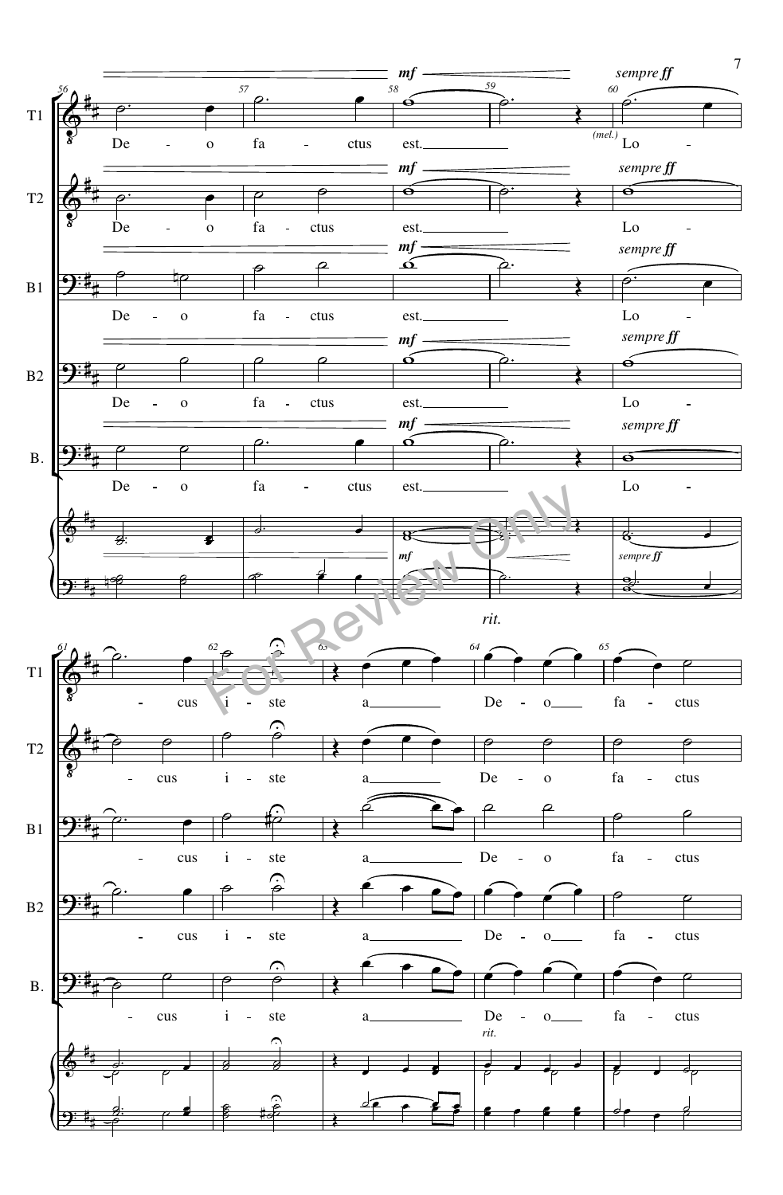